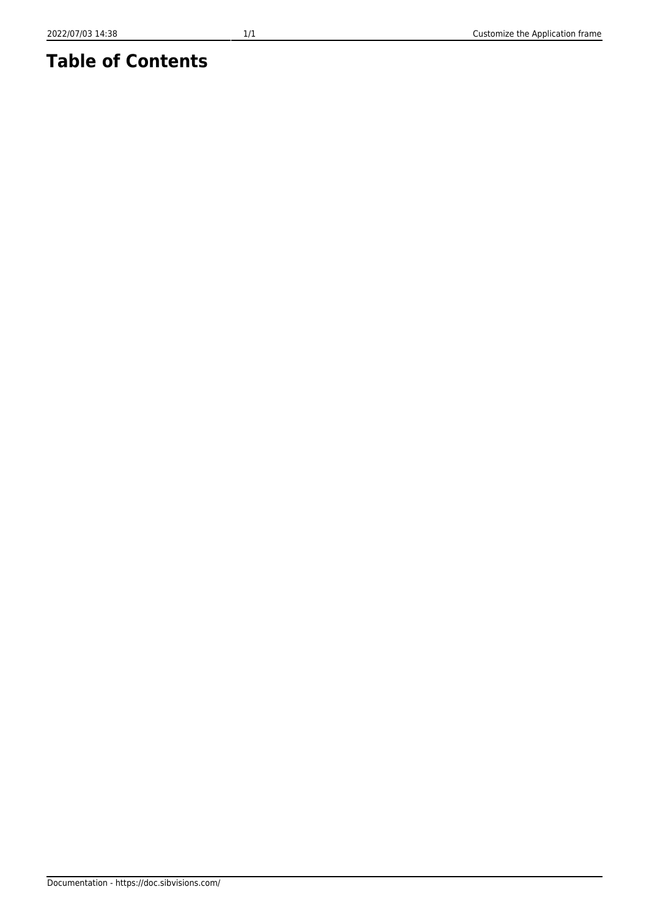## **Table of Contents**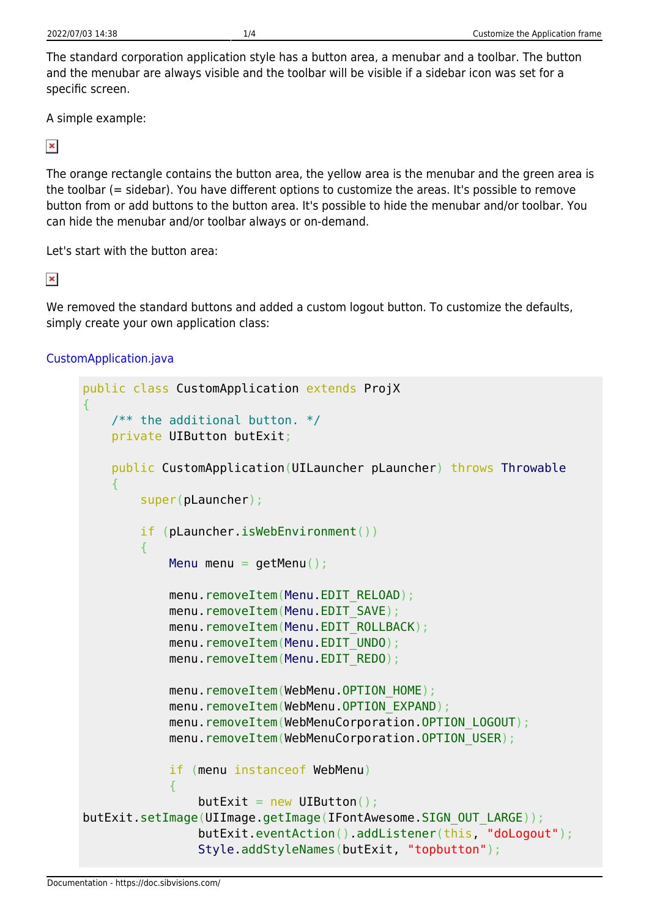The standard corporation application style has a button area, a menubar and a toolbar. The button and the menubar are always visible and the toolbar will be visible if a sidebar icon was set for a specific screen.

A simple example:

 $\pmb{\times}$ 

The orange rectangle contains the button area, the yellow area is the menubar and the green area is the toolbar (= sidebar). You have different options to customize the areas. It's possible to remove button from or add buttons to the button area. It's possible to hide the menubar and/or toolbar. You can hide the menubar and/or toolbar always or on-demand.

Let's start with the button area:

 $\pmb{\times}$ 

We removed the standard buttons and added a custom logout button. To customize the defaults, simply create your own application class:

## [CustomApplication.java](https://doc.sibvisions.com/_export/code/vaadin/customize_application?codeblock=0)

```
public class CustomApplication extends ProjX
{
    /** the additional button. */
    private UIButton butExit;
    public CustomApplication(UILauncher pLauncher) throws Throwable
    {
        super(pLauncher);
        if (pLauncher.isWebEnvironment())
 {
           Menu menu = getMenu();
           (Menu.EDIT RELOAD);
           (Menu.EDIT SAVE);
           (Menu.EDIT_ROLLBACK);
           (Menu.EDIT_UNDO);
           (Menu.EDIT REDO);
           menu.removeItem(WebMenu.OPTION HOME);
           menu.removeItem(WebMenu.OPTION EXPAND);
           menu.removeItem(WebMenuCorporation.OPTION LOGOUT);
           menu.removeItem(WebMenuCorporation.OPTION USER);
            if (menu instanceof WebMenu)
\{butExit = new UIButton();
butExit.setImage(UIImage.getImage(IFontAwesome.SIGN_OUT_LARGE));
               butExit.eventAction().addListener(this, "doLogout");
               Style.addStyleNames(butExit, "topbutton");
```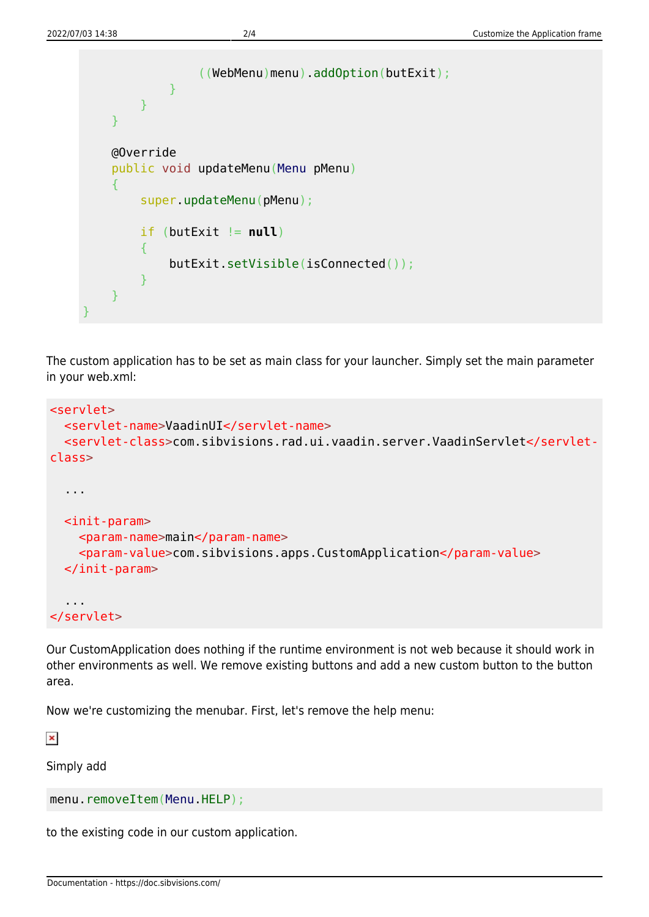```
 ((WebMenu)menu).addOption(butExit);
 }
 }
    }
    @Override
    public void updateMenu(Menu pMenu)
    {
        super.updateMenu(pMenu);
        if (butExit != null)
 {
            butExit.setVisible(isConnected());
        }
    }
}
```
The custom application has to be set as main class for your launcher. Simply set the main parameter in your web.xml:

```
<servlet>
   <servlet-name>VaadinUI</servlet-name>
   <servlet-class>com.sibvisions.rad.ui.vaadin.server.VaadinServlet</servlet-
class>
   ...
   <init-param>
     <param-name>main</param-name>
     <param-value>com.sibvisions.apps.CustomApplication</param-value>
   </init-param>
   ...
```
</servlet>

Our CustomApplication does nothing if the runtime environment is not web because it should work in other environments as well. We remove existing buttons and add a new custom button to the button area.

Now we're customizing the menubar. First, let's remove the help menu:

 $\pmb{\times}$ 

Simply add

menu.removeItem([Menu](http://www.google.com/search?hl=en&q=allinurl%3Adocs.oracle.com+javase+docs+api+menu).HELP);

to the existing code in our custom application.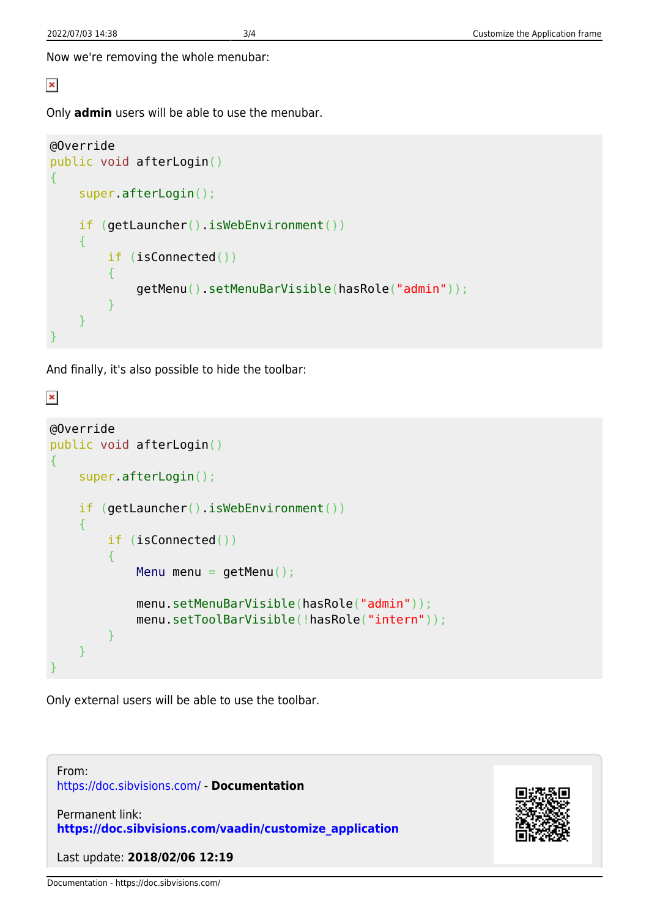Now we're removing the whole menubar:

 $\pmb{\times}$ 

Only **admin** users will be able to use the menubar.

```
@Override
public void afterLogin()
{
     super.afterLogin();
     if (getLauncher().isWebEnvironment())
     {
         if (isConnected())
         {
             getMenu().setMenuBarVisible(hasRole("admin"));
 }
     }
}
```
And finally, it's also possible to hide the toolbar:

## $\pmb{\times}$

```
@Override
public void afterLogin()
{
     super.afterLogin();
    if (getLauncher().isWebEnvironment())
     {
         if (isConnected())
 {
            Menu menu = getMenu();
             menu.setMenuBarVisible(hasRole("admin"));
             menu.setToolBarVisible(!hasRole("intern"));
         }
     }
}
```
Only external users will be able to use the toolbar.